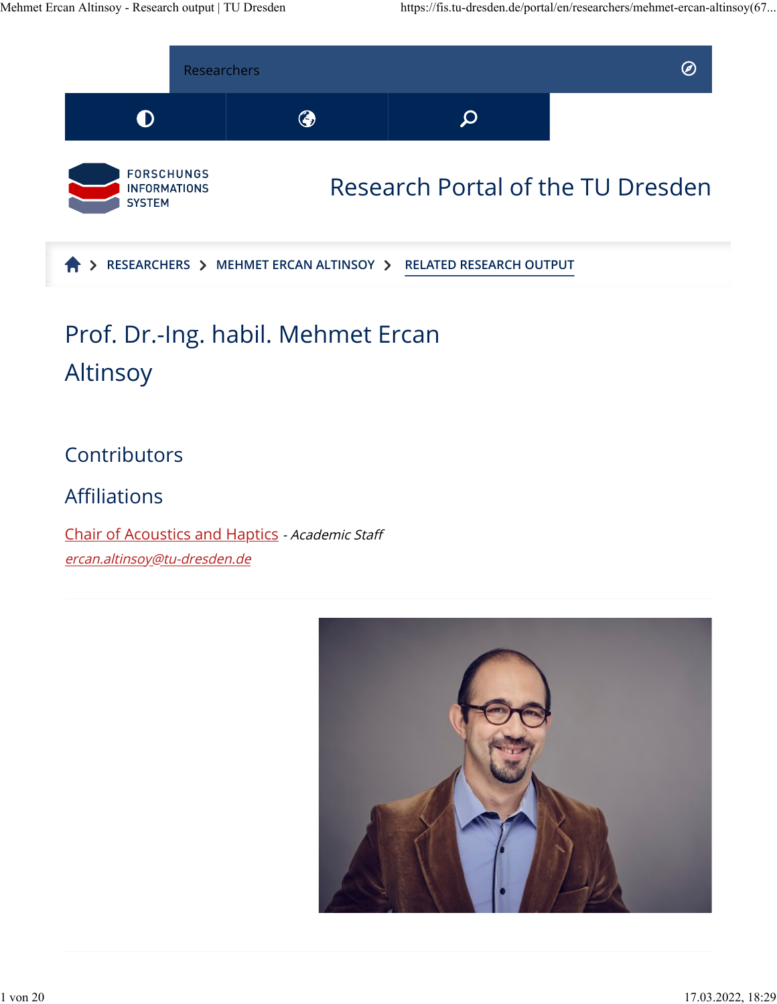

# Prof. Dr.-Ing. habil. Mehmet Ercan Altinsoy

#### **Contributors**

#### **Affiliations**

[Chair of Acoustics and Haptics](https://fis.tu-dresden.de/portal/en/organisations/chair-of-acoustics-and-haptics(f09ec271-1274-4eb6-98cc-7fe9e268e936).html) - Academic Staff [ercan.altinsoy@tu-dresden.de](mailto:ercan.altinsoy@tu-dresden.de)

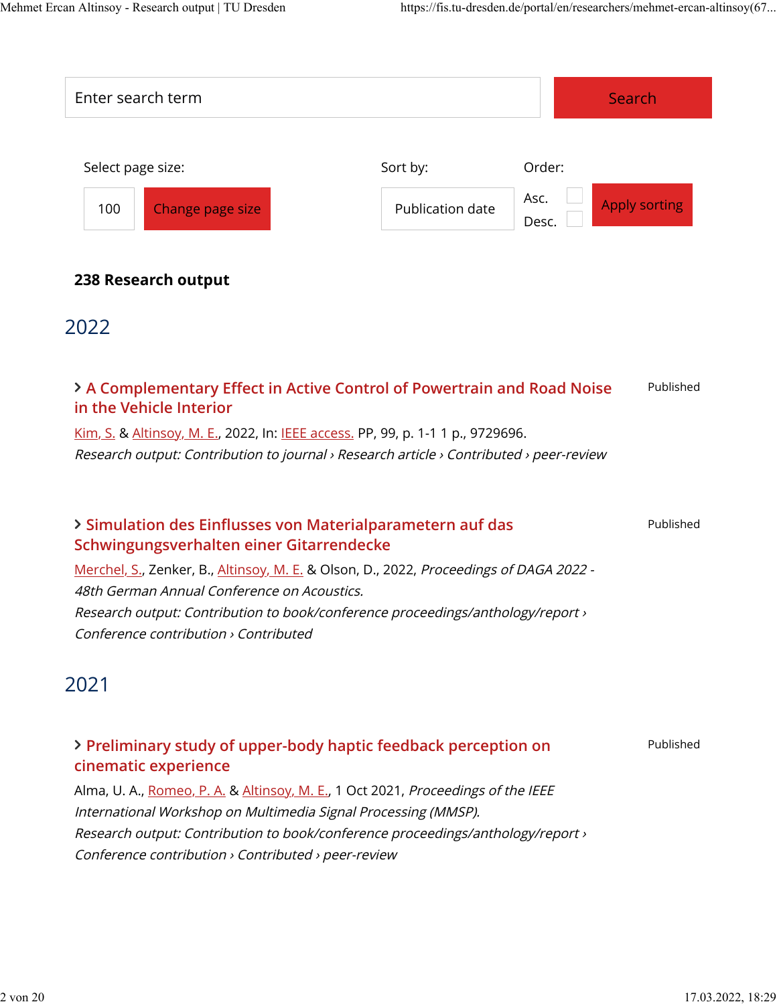| Enter search term                                                                                                                                                          |                  |               | Search               |
|----------------------------------------------------------------------------------------------------------------------------------------------------------------------------|------------------|---------------|----------------------|
| Select page size:                                                                                                                                                          | Sort by:         | Order:        |                      |
| Change page size<br>100                                                                                                                                                    | Publication date | Asc.<br>Desc. | <b>Apply sorting</b> |
| 238 Research output                                                                                                                                                        |                  |               |                      |
| 2022                                                                                                                                                                       |                  |               |                      |
| > A Complementary Effect in Active Control of Powertrain and Road Noise<br>in the Vehicle Interior                                                                         |                  |               | Published            |
| Kim, S. & Altinsoy, M. E., 2022, In: IEEE access. PP, 99, p. 1-1 1 p., 9729696.<br>Research output: Contribution to journal > Research article > Contributed > peer-review |                  |               |                      |
| > Simulation des Einflusses von Materialparametern auf das<br>Schwingungsverhalten einer Gitarrendecke                                                                     |                  |               | Published            |
| Merchel, S., Zenker, B., Altinsoy, M. E. & Olson, D., 2022, Proceedings of DAGA 2022 -<br>48th German Annual Conference on Acoustics.                                      |                  |               |                      |
| Research output: Contribution to book/conference proceedings/anthology/report ><br>Conference contribution > Contributed                                                   |                  |               |                      |
| 2021                                                                                                                                                                       |                  |               |                      |
| > Preliminary study of upper-body haptic feedback perception on<br>cinematic experience                                                                                    |                  |               | Published            |
| Alma, U. A., Romeo, P. A. & Altinsoy, M. E., 1 Oct 2021, Proceedings of the IEEE<br>International Workshop on Multimedia Signal Processing (MMSP).                         |                  |               |                      |
| Research output: Contribution to book/conference proceedings/anthology/report ><br>Conference contribution > Contributed > peer-review                                     |                  |               |                      |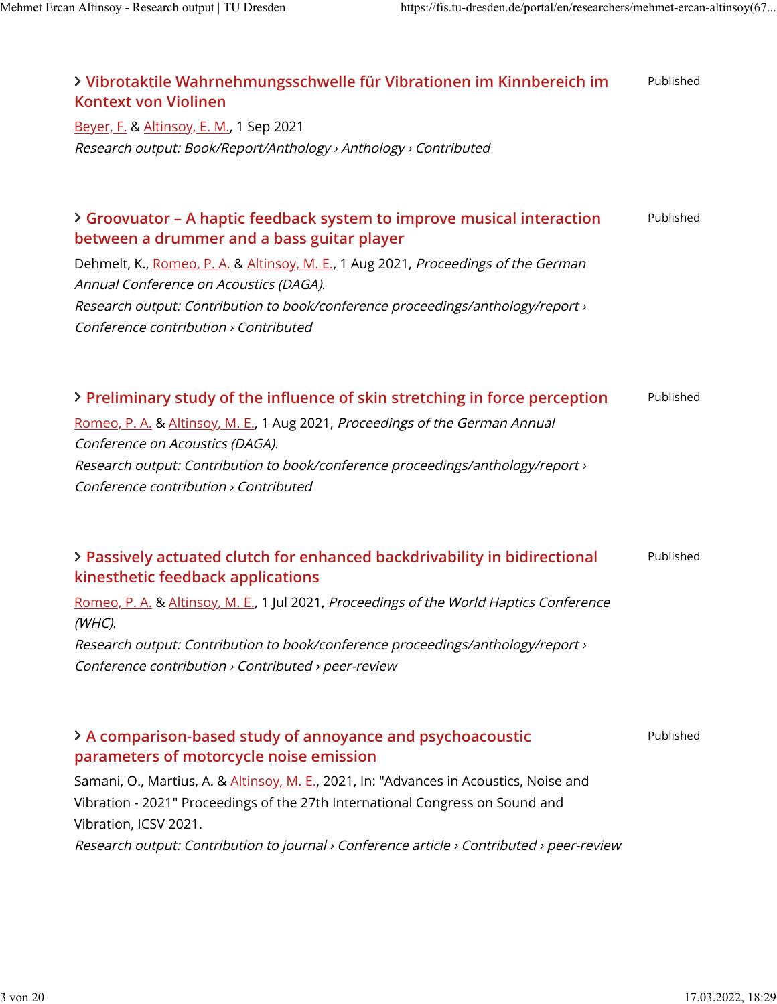| > Vibrotaktile Wahrnehmungsschwelle für Vibrationen im Kinnbereich im<br><b>Kontext von Violinen</b>                                                                    | Published |
|-------------------------------------------------------------------------------------------------------------------------------------------------------------------------|-----------|
| Beyer, F. & Altinsoy, E. M., 1 Sep 2021                                                                                                                                 |           |
| Research output: Book/Report/Anthology > Anthology > Contributed                                                                                                        |           |
| > Groovuator - A haptic feedback system to improve musical interaction<br>between a drummer and a bass guitar player                                                    | Published |
| Dehmelt, K., Romeo, P. A. & Altinsoy, M. E., 1 Aug 2021, Proceedings of the German<br>Annual Conference on Acoustics (DAGA).                                            |           |
| Research output: Contribution to book/conference proceedings/anthology/report ><br>Conference contribution > Contributed                                                |           |
| > Preliminary study of the influence of skin stretching in force perception                                                                                             | Published |
| Romeo, P. A. & Altinsoy, M. E., 1 Aug 2021, Proceedings of the German Annual<br>Conference on Acoustics (DAGA).                                                         |           |
| Research output: Contribution to book/conference proceedings/anthology/report ><br>Conference contribution > Contributed                                                |           |
| > Passively actuated clutch for enhanced backdrivability in bidirectional<br>kinesthetic feedback applications                                                          | Published |
| Romeo, P. A. & Altinsoy, M. E., 1 Jul 2021, Proceedings of the World Haptics Conference<br>(WHC).                                                                       |           |
| Research output: Contribution to book/conference proceedings/anthology/report ><br>Conference contribution > Contributed > peer-review                                  |           |
|                                                                                                                                                                         |           |
| > A comparison-based study of annoyance and psychoacoustic<br>parameters of motorcycle noise emission                                                                   | Published |
| Samani, O., Martius, A. & Altinsoy, M. E., 2021, In: "Advances in Acoustics, Noise and<br>Vibration - 2021" Proceedings of the 27th International Congress on Sound and |           |
| Vibration, ICSV 2021.<br>Research output: Contribution to journal > Conference article > Contributed > peer-review                                                      |           |
|                                                                                                                                                                         |           |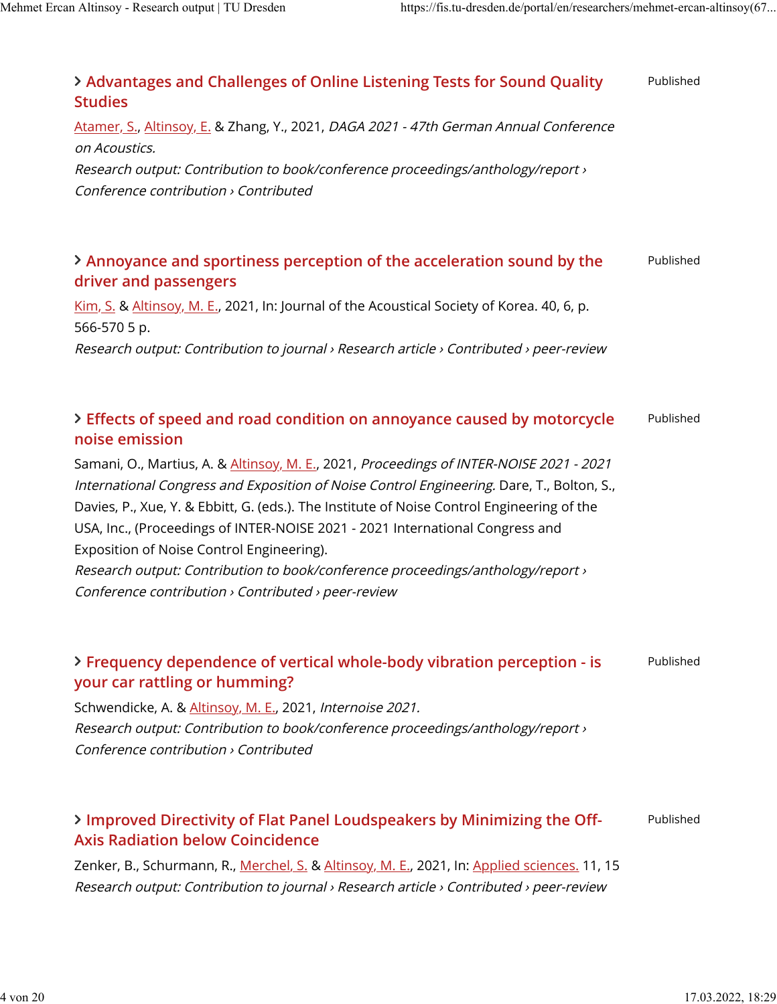| > Advantages and Challenges of Online Listening Tests for Sound Quality<br><b>Studies</b>                                                                                                                                                                                                                                                                                                                                                                                                                                                                  | Published |
|------------------------------------------------------------------------------------------------------------------------------------------------------------------------------------------------------------------------------------------------------------------------------------------------------------------------------------------------------------------------------------------------------------------------------------------------------------------------------------------------------------------------------------------------------------|-----------|
| Atamer, S., Altinsoy, E. & Zhang, Y., 2021, DAGA 2021 - 47th German Annual Conference<br>on Acoustics.                                                                                                                                                                                                                                                                                                                                                                                                                                                     |           |
| Research output: Contribution to book/conference proceedings/anthology/report ><br>Conference contribution > Contributed                                                                                                                                                                                                                                                                                                                                                                                                                                   |           |
| > Annoyance and sportiness perception of the acceleration sound by the<br>driver and passengers                                                                                                                                                                                                                                                                                                                                                                                                                                                            | Published |
| Kim, S. & Altinsoy, M. E., 2021, In: Journal of the Acoustical Society of Korea. 40, 6, p.<br>566-570 5 p.                                                                                                                                                                                                                                                                                                                                                                                                                                                 |           |
| Research output: Contribution to journal > Research article > Contributed > peer-review                                                                                                                                                                                                                                                                                                                                                                                                                                                                    |           |
| > Effects of speed and road condition on annoyance caused by motorcycle<br>noise emission                                                                                                                                                                                                                                                                                                                                                                                                                                                                  | Published |
| Samani, O., Martius, A. & Altinsoy, M. E., 2021, Proceedings of INTER-NOISE 2021 - 2021<br>International Congress and Exposition of Noise Control Engineering. Dare, T., Bolton, S.,<br>Davies, P., Xue, Y. & Ebbitt, G. (eds.). The Institute of Noise Control Engineering of the<br>USA, Inc., (Proceedings of INTER-NOISE 2021 - 2021 International Congress and<br>Exposition of Noise Control Engineering).<br>Research output: Contribution to book/conference proceedings/anthology/report ><br>Conference contribution > Contributed > peer-review |           |
| > Frequency dependence of vertical whole-body vibration perception - is<br>your car rattling or humming?                                                                                                                                                                                                                                                                                                                                                                                                                                                   | Published |
| Schwendicke, A. & Altinsoy, M. E., 2021, Internoise 2021.<br>Research output: Contribution to book/conference proceedings/anthology/report ><br>Conference contribution > Contributed                                                                                                                                                                                                                                                                                                                                                                      |           |
| > Improved Directivity of Flat Panel Loudspeakers by Minimizing the Off-<br><b>Axis Radiation below Coincidence</b>                                                                                                                                                                                                                                                                                                                                                                                                                                        | Published |
| Zenker, B., Schurmann, R., Merchel, S. & Altinsoy, M. E., 2021, In: Applied sciences. 11, 15<br>Research output: Contribution to journal > Research article > Contributed > peer-review                                                                                                                                                                                                                                                                                                                                                                    |           |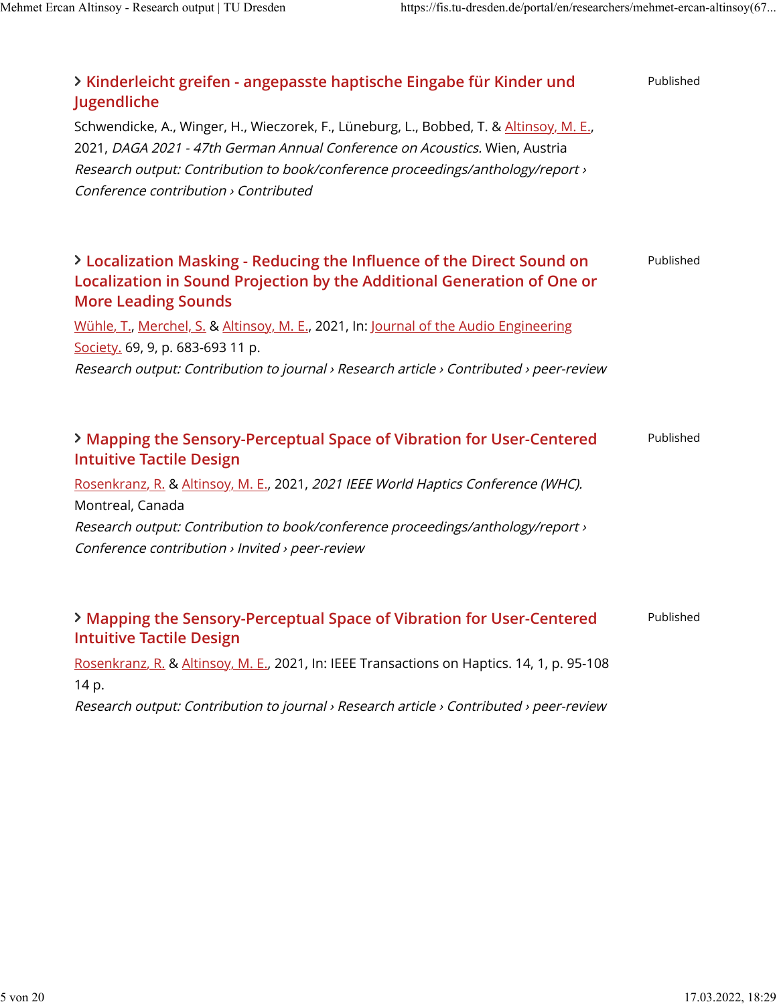| > Kinderleicht greifen - angepasste haptische Eingabe für Kinder und<br>Jugendliche                                                                                    | Published |
|------------------------------------------------------------------------------------------------------------------------------------------------------------------------|-----------|
| Schwendicke, A., Winger, H., Wieczorek, F., Lüneburg, L., Bobbed, T. & Altinsoy, M. E.,<br>2021, DAGA 2021 - 47th German Annual Conference on Acoustics. Wien, Austria |           |
| Research output: Contribution to book/conference proceedings/anthology/report ><br>Conference contribution > Contributed                                               |           |
| > Localization Masking - Reducing the Influence of the Direct Sound on                                                                                                 | Published |
| Localization in Sound Projection by the Additional Generation of One or<br><b>More Leading Sounds</b>                                                                  |           |
| Wühle, T., Merchel, S. & Altinsoy, M. E., 2021, In: Journal of the Audio Engineering<br>Society. 69, 9, p. 683-693 11 p.                                               |           |
| Research output: Contribution to journal > Research article > Contributed > peer-review                                                                                |           |
| > Mapping the Sensory-Perceptual Space of Vibration for User-Centered<br><b>Intuitive Tactile Design</b>                                                               | Published |
| Rosenkranz, R. & Altinsoy, M. E., 2021, 2021 IEEE World Haptics Conference (WHC).<br>Montreal, Canada                                                                  |           |
| Research output: Contribution to book/conference proceedings/anthology/report ><br>Conference contribution > Invited > peer-review                                     |           |
|                                                                                                                                                                        |           |
| > Mapping the Sensory-Perceptual Space of Vibration for User-Centered<br><b>Intuitive Tactile Design</b>                                                               | Published |
| Rosenkranz, R. & Altinsov, M. E., 2021, In: IEEE Transactions on Haptics. 14, 1, p. 95-108                                                                             |           |

14 p.

Research output: Contribution to journal › Research article › Contributed › peer-review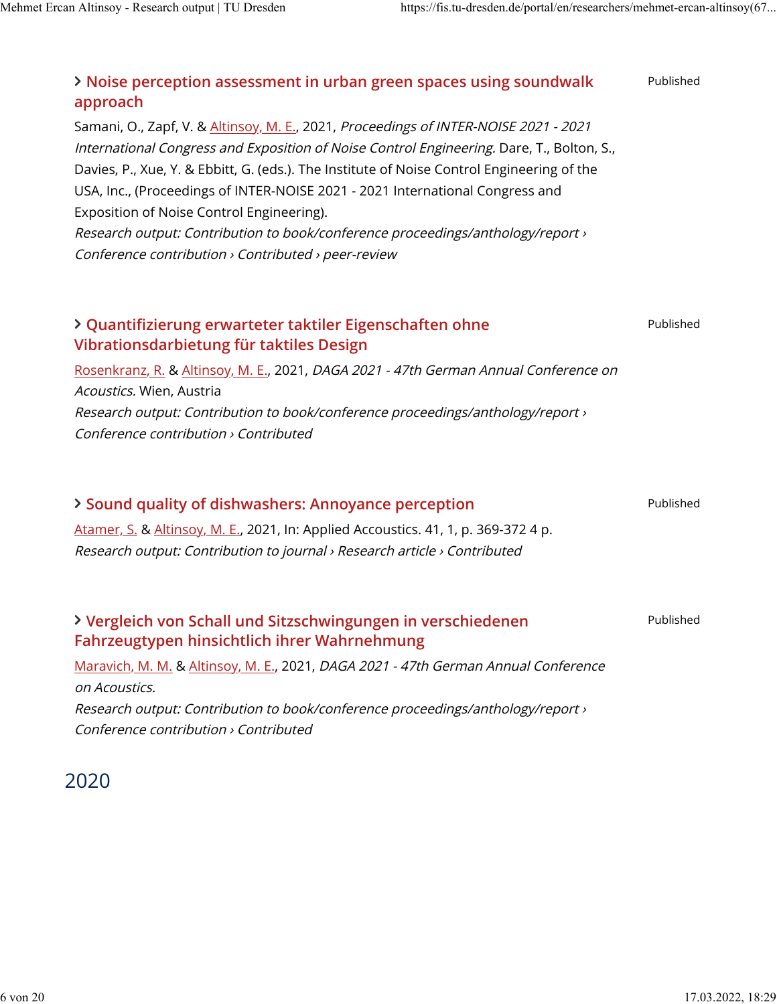| > Noise perception assessment in urban green spaces using soundwalk<br>approach                                                                                                                                                                                                                                                                                                                                                                                                                                                                         | Published |
|---------------------------------------------------------------------------------------------------------------------------------------------------------------------------------------------------------------------------------------------------------------------------------------------------------------------------------------------------------------------------------------------------------------------------------------------------------------------------------------------------------------------------------------------------------|-----------|
| Samani, O., Zapf, V. & Altinsoy, M. E., 2021, Proceedings of INTER-NOISE 2021 - 2021<br>International Congress and Exposition of Noise Control Engineering. Dare, T., Bolton, S.,<br>Davies, P., Xue, Y. & Ebbitt, G. (eds.). The Institute of Noise Control Engineering of the<br>USA, Inc., (Proceedings of INTER-NOISE 2021 - 2021 International Congress and<br>Exposition of Noise Control Engineering).<br>Research output: Contribution to book/conference proceedings/anthology/report ><br>Conference contribution > Contributed > peer-review |           |
| > Quantifizierung erwarteter taktiler Eigenschaften ohne<br>Vibrationsdarbietung für taktiles Design                                                                                                                                                                                                                                                                                                                                                                                                                                                    | Published |
| Rosenkranz, R. & Altinsoy, M. E., 2021, DAGA 2021 - 47th German Annual Conference on<br>Acoustics. Wien, Austria                                                                                                                                                                                                                                                                                                                                                                                                                                        |           |
| Research output: Contribution to book/conference proceedings/anthology/report ><br>Conference contribution > Contributed                                                                                                                                                                                                                                                                                                                                                                                                                                |           |
| > Sound quality of dishwashers: Annoyance perception                                                                                                                                                                                                                                                                                                                                                                                                                                                                                                    | Published |
| Atamer, S. & Altinsoy, M. E., 2021, In: Applied Accoustics. 41, 1, p. 369-372 4 p.<br>Research output: Contribution to journal > Research article > Contributed                                                                                                                                                                                                                                                                                                                                                                                         |           |
| > Vergleich von Schall und Sitzschwingungen in verschiedenen<br>Fahrzeugtypen hinsichtlich ihrer Wahrnehmung                                                                                                                                                                                                                                                                                                                                                                                                                                            | Published |
| Maravich, M. M. & Altinsoy, M. E., 2021, DAGA 2021 - 47th German Annual Conference<br>on Acoustics.                                                                                                                                                                                                                                                                                                                                                                                                                                                     |           |
| Research output: Contribution to book/conference proceedings/anthology/report ><br>Conference contribution > Contributed                                                                                                                                                                                                                                                                                                                                                                                                                                |           |

## 2020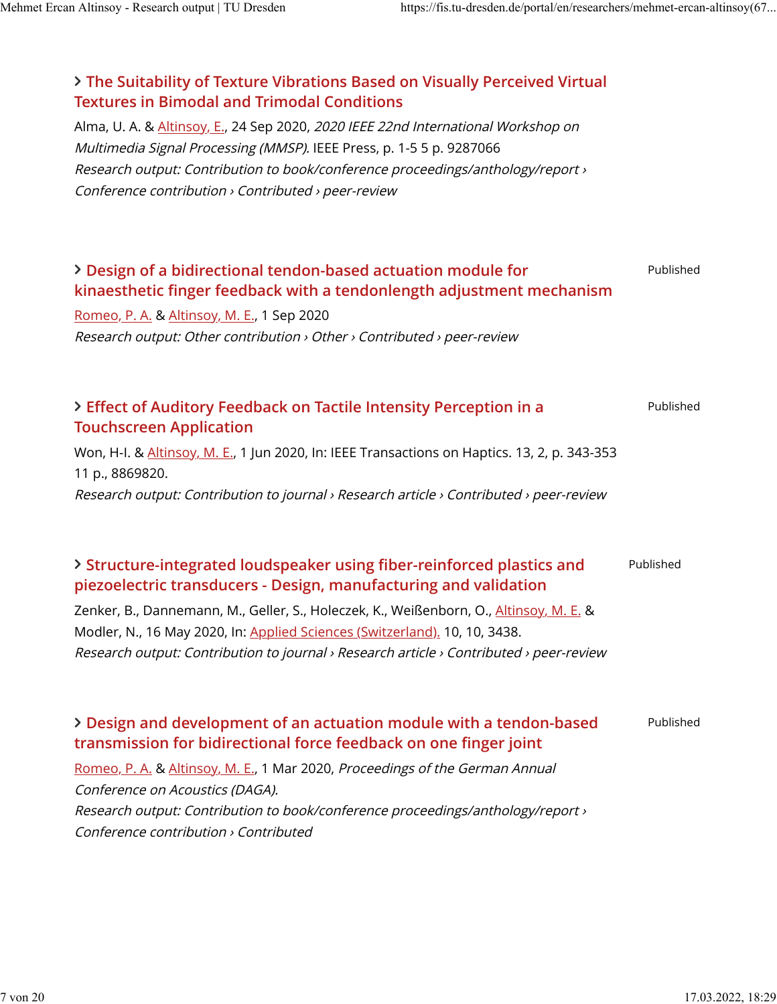#### **[The Suitability of Texture Vibrations Based on Visually Perceived Virtual](https://fis.tu-dresden.de/portal/en/publications/the-suitability-of-texture-vibrations-based-on-visually-perceived-virtual-textures-in-bimodal-and-trimodal-conditions(b29b1801-2f53-49db-93f2-d7881c10beee).html) [Textures in Bimodal and Trimodal Conditions](https://fis.tu-dresden.de/portal/en/publications/the-suitability-of-texture-vibrations-based-on-visually-perceived-virtual-textures-in-bimodal-and-trimodal-conditions(b29b1801-2f53-49db-93f2-d7881c10beee).html)**

Alma, U. A. & [Altinsoy, E.,](https://fis.tu-dresden.de/portal/en/researchers/mehmet-ercan-altinsoy(679157cc-1470-45f7-8b9e-b63c5cefa684).html) 24 Sep 2020, 2020 IEEE 22nd International Workshop on Multimedia Signal Processing (MMSP). IEEE Press, p. 1-5 5 p. 9287066 Research output: Contribution to book/conference proceedings/anthology/report › Conference contribution › Contributed › peer-review

| > Design of a bidirectional tendon-based actuation module for<br>kinaesthetic finger feedback with a tendonlength adjustment mechanism<br>Romeo, P. A. & Altinsoy, M. E., 1 Sep 2020<br>Research output: Other contribution > Other > Contributed > peer-review | Published |
|-----------------------------------------------------------------------------------------------------------------------------------------------------------------------------------------------------------------------------------------------------------------|-----------|
| > Effect of Auditory Feedback on Tactile Intensity Perception in a<br><b>Touchscreen Application</b>                                                                                                                                                            | Published |
| Won, H-I. & Altinsoy, M. E., 1 Jun 2020, In: IEEE Transactions on Haptics. 13, 2, p. 343-353<br>11 p., 8869820.                                                                                                                                                 |           |
| Research output: Contribution to journal > Research article > Contributed > peer-review                                                                                                                                                                         |           |
| > Structure-integrated loudspeaker using fiber-reinforced plastics and<br>piezoelectric transducers - Design, manufacturing and validation                                                                                                                      | Published |
| Zenker, B., Dannemann, M., Geller, S., Holeczek, K., Weißenborn, O., Altinsoy, M. E. &<br>Modler, N., 16 May 2020, In: Applied Sciences (Switzerland). 10, 10, 3438.                                                                                            |           |
| Research output: Contribution to journal > Research article > Contributed > peer-review                                                                                                                                                                         |           |
| > Design and development of an actuation module with a tendon-based<br>transmission for bidirectional force feedback on one finger joint                                                                                                                        | Published |
| Romeo, P. A. & Altinsoy, M. E., 1 Mar 2020, Proceedings of the German Annual<br>Conference on Acoustics (DAGA).                                                                                                                                                 |           |
| Research output: Contribution to book/conference proceedings/anthology/report ><br>Conference contribution > Contributed                                                                                                                                        |           |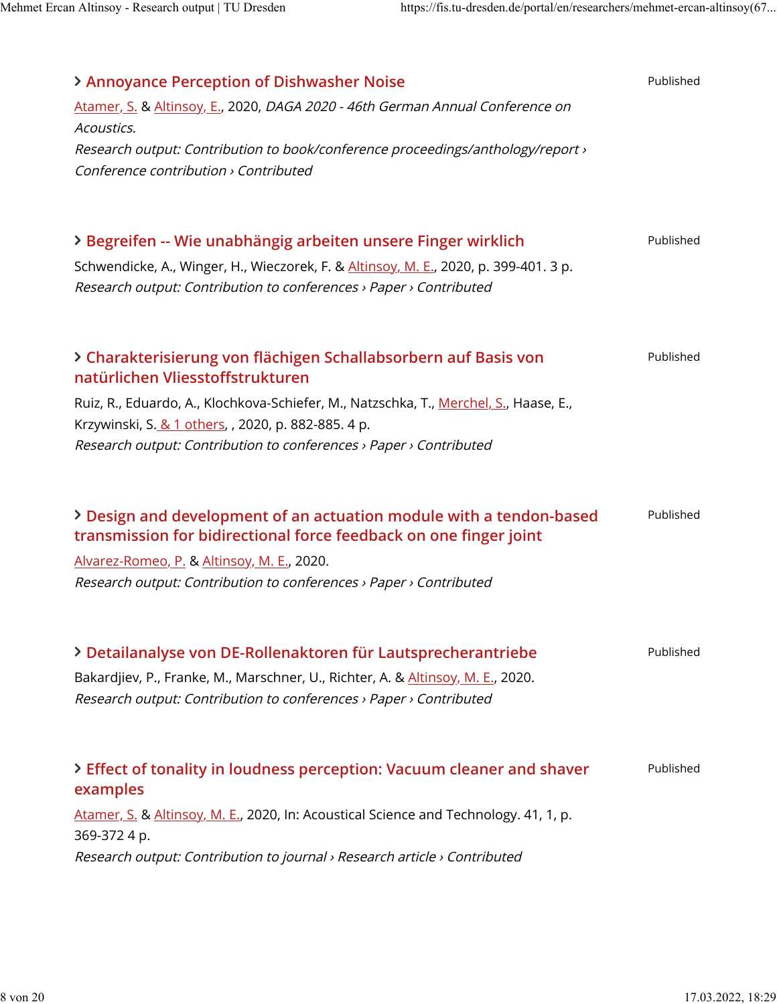| > Annoyance Perception of Dishwasher Noise                                                                                                                 | Published |
|------------------------------------------------------------------------------------------------------------------------------------------------------------|-----------|
| Atamer, S. & Altinsoy, E., 2020, DAGA 2020 - 46th German Annual Conference on<br>Acoustics.                                                                |           |
| Research output: Contribution to book/conference proceedings/anthology/report ><br>Conference contribution > Contributed                                   |           |
| > Begreifen -- Wie unabhängig arbeiten unsere Finger wirklich                                                                                              | Published |
| Schwendicke, A., Winger, H., Wieczorek, F. & Altinsoy, M. E., 2020, p. 399-401. 3 p.<br>Research output: Contribution to conferences > Paper > Contributed |           |
| > Charakterisierung von flächigen Schallabsorbern auf Basis von<br>natürlichen Vliesstoffstrukturen                                                        | Published |
| Ruiz, R., Eduardo, A., Klochkova-Schiefer, M., Natzschka, T., Merchel, S., Haase, E.,                                                                      |           |
| Krzywinski, S. & 1 others, , 2020, p. 882-885. 4 p.<br>Research output: Contribution to conferences > Paper > Contributed                                  |           |
| > Design and development of an actuation module with a tendon-based<br>transmission for bidirectional force feedback on one finger joint                   | Published |
| Alvarez-Romeo, P. & Altinsoy, M. E., 2020.                                                                                                                 |           |
|                                                                                                                                                            |           |
| Research output: Contribution to conferences > Paper > Contributed                                                                                         |           |
| > Detailanalyse von DE-Rollenaktoren für Lautsprecherantriebe                                                                                              | Published |
| Bakardjiev, P., Franke, M., Marschner, U., Richter, A. & Altinsoy, M. E., 2020.<br>Research output: Contribution to conferences > Paper > Contributed      |           |
| > Effect of tonality in loudness perception: Vacuum cleaner and shaver<br>examples                                                                         | Published |
| Atamer, S. & Altinsoy, M. E., 2020, In: Acoustical Science and Technology. 41, 1, p.<br>369-372 4 p.                                                       |           |
| Research output: Contribution to journal > Research article > Contributed                                                                                  |           |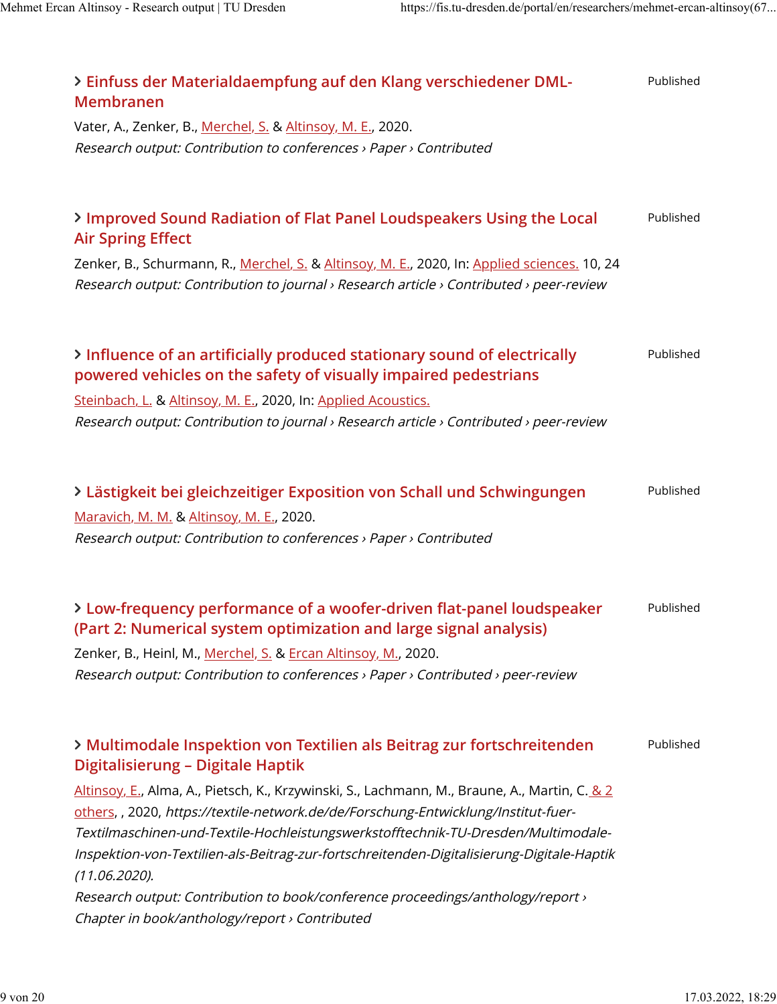| > Einfuss der Materialdaempfung auf den Klang verschiedener DML-<br><b>Membranen</b>                                                                                                                                                                                                                                                                                                                                                                                                                                                                                                                                                           | Published |
|------------------------------------------------------------------------------------------------------------------------------------------------------------------------------------------------------------------------------------------------------------------------------------------------------------------------------------------------------------------------------------------------------------------------------------------------------------------------------------------------------------------------------------------------------------------------------------------------------------------------------------------------|-----------|
| Vater, A., Zenker, B., Merchel, S. & Altinsoy, M. E., 2020.<br>Research output: Contribution to conferences > Paper > Contributed                                                                                                                                                                                                                                                                                                                                                                                                                                                                                                              |           |
| > Improved Sound Radiation of Flat Panel Loudspeakers Using the Local<br><b>Air Spring Effect</b>                                                                                                                                                                                                                                                                                                                                                                                                                                                                                                                                              | Published |
| Zenker, B., Schurmann, R., Merchel, S. & Altinsoy, M. E., 2020, In: Applied sciences. 10, 24<br>Research output: Contribution to journal > Research article > Contributed > peer-review                                                                                                                                                                                                                                                                                                                                                                                                                                                        |           |
| > Influence of an artificially produced stationary sound of electrically<br>powered vehicles on the safety of visually impaired pedestrians<br>Steinbach, L. & Altinsoy, M. E., 2020, In: Applied Acoustics.                                                                                                                                                                                                                                                                                                                                                                                                                                   | Published |
| Research output: Contribution to journal > Research article > Contributed > peer-review                                                                                                                                                                                                                                                                                                                                                                                                                                                                                                                                                        |           |
| > Lästigkeit bei gleichzeitiger Exposition von Schall und Schwingungen<br>Maravich, M. M. & Altinsoy, M. E., 2020.<br>Research output: Contribution to conferences > Paper > Contributed                                                                                                                                                                                                                                                                                                                                                                                                                                                       | Published |
| > Low-frequency performance of a woofer-driven flat-panel loudspeaker<br>(Part 2: Numerical system optimization and large signal analysis)<br>Zenker, B., Heinl, M., Merchel, S. & Ercan Altinsoy, M., 2020.<br>Research output: Contribution to conferences > Paper > Contributed > peer-review                                                                                                                                                                                                                                                                                                                                               | Published |
| > Multimodale Inspektion von Textilien als Beitrag zur fortschreitenden<br>Digitalisierung - Digitale Haptik<br>Altinsoy, E., Alma, A., Pietsch, K., Krzywinski, S., Lachmann, M., Braune, A., Martin, C. & 2<br>others, , 2020, https://textile-network.de/de/Forschung-Entwicklung/Institut-fuer-<br>Textilmaschinen-und-Textile-Hochleistungswerkstofftechnik-TU-Dresden/Multimodale-<br>Inspektion-von-Textilien-als-Beitrag-zur-fortschreitenden-Digitalisierung-Digitale-Haptik<br>$(11.06.2020)$ .<br>Research output: Contribution to book/conference proceedings/anthology/report ><br>Chapter in book/anthology/report > Contributed | Published |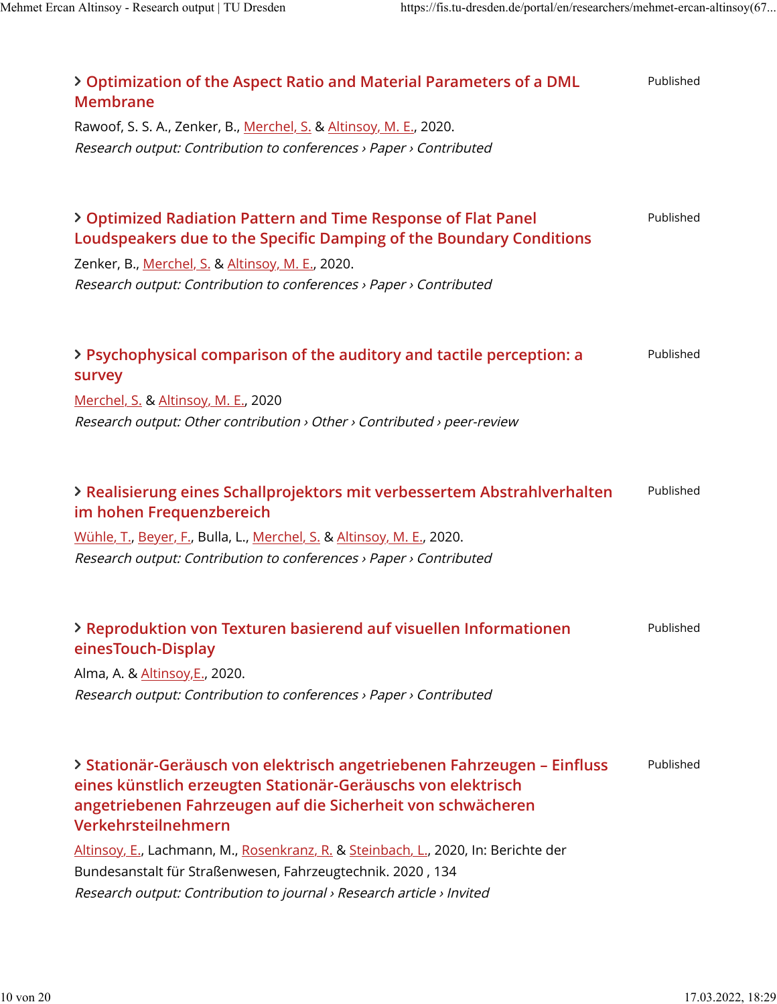| > Optimization of the Aspect Ratio and Material Parameters of a DML<br><b>Membrane</b>                                                                                                                                                                         | Published |
|----------------------------------------------------------------------------------------------------------------------------------------------------------------------------------------------------------------------------------------------------------------|-----------|
| Rawoof, S. S. A., Zenker, B., Merchel, S. & Altinsoy, M. E., 2020.<br>Research output: Contribution to conferences > Paper > Contributed                                                                                                                       |           |
| > Optimized Radiation Pattern and Time Response of Flat Panel<br>Loudspeakers due to the Specific Damping of the Boundary Conditions<br>Zenker, B., Merchel, S. & Altinsoy, M. E., 2020.<br>Research output: Contribution to conferences > Paper > Contributed | Published |
| > Psychophysical comparison of the auditory and tactile perception: a<br>survey                                                                                                                                                                                | Published |
| Merchel, S. & Altinsoy, M. E., 2020<br>Research output: Other contribution > Other > Contributed > peer-review                                                                                                                                                 |           |
| > Realisierung eines Schallprojektors mit verbessertem Abstrahlverhalten<br>im hohen Frequenzbereich                                                                                                                                                           | Published |
| Wühle, T., Beyer, F., Bulla, L., Merchel, S. & Altinsoy, M. E., 2020.<br>Research output: Contribution to conferences > Paper > Contributed                                                                                                                    |           |
| > Reproduktion von Texturen basierend auf visuellen Informationen<br>einesTouch-Display                                                                                                                                                                        | Published |
| Alma, A. & Altinsoy, E., 2020.<br>Research output: Contribution to conferences > Paper > Contributed                                                                                                                                                           |           |
| > Stationär-Geräusch von elektrisch angetriebenen Fahrzeugen – Einfluss<br>eines künstlich erzeugten Stationär-Geräuschs von elektrisch<br>angetriebenen Fahrzeugen auf die Sicherheit von schwächeren<br>Verkehrsteilnehmern                                  | Published |
| Altinsoy, E., Lachmann, M., Rosenkranz, R. & Steinbach, L., 2020, In: Berichte der<br>Bundesanstalt für Straßenwesen, Fahrzeugtechnik. 2020, 134<br>Research output: Contribution to journal > Research article > Invited                                      |           |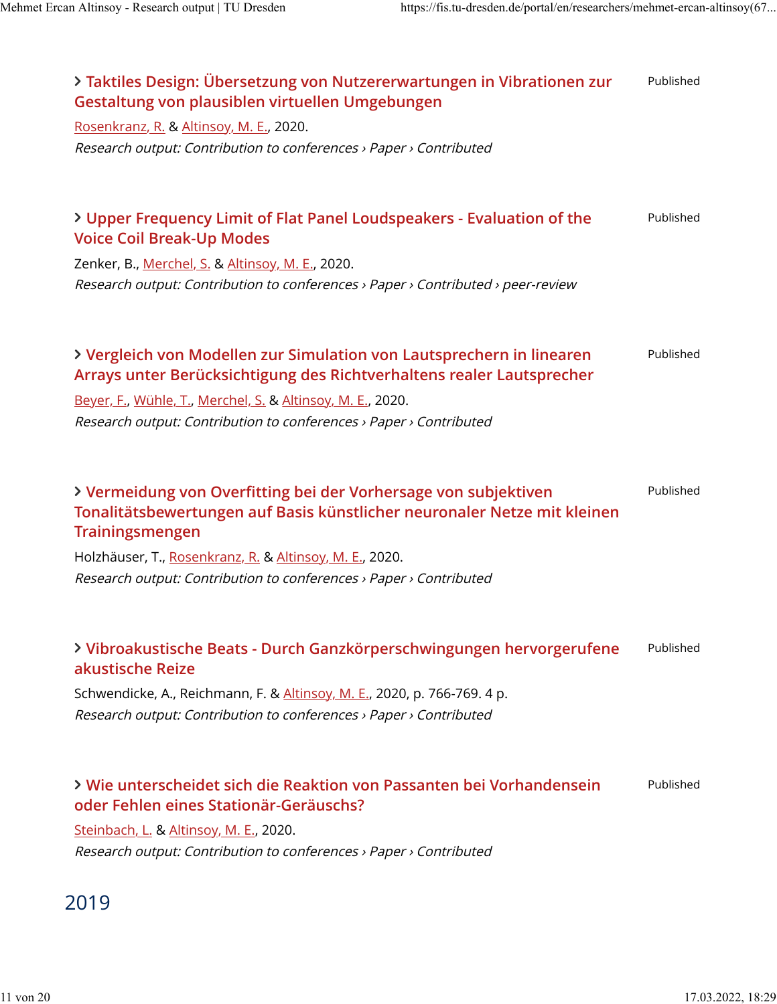| > Taktiles Design: Übersetzung von Nutzererwartungen in Vibrationen zur<br>Gestaltung von plausiblen virtuellen Umgebungen                                     | Published |
|----------------------------------------------------------------------------------------------------------------------------------------------------------------|-----------|
| Rosenkranz, R. & Altinsoy, M. E., 2020.                                                                                                                        |           |
| Research output: Contribution to conferences > Paper > Contributed                                                                                             |           |
| > Upper Frequency Limit of Flat Panel Loudspeakers - Evaluation of the<br><b>Voice Coil Break-Up Modes</b>                                                     | Published |
| Zenker, B., Merchel, S. & Altinsoy, M. E., 2020.                                                                                                               |           |
| Research output: Contribution to conferences > Paper > Contributed > peer-review                                                                               |           |
| > Vergleich von Modellen zur Simulation von Lautsprechern in linearen<br>Arrays unter Berücksichtigung des Richtverhaltens realer Lautsprecher                 | Published |
| Beyer, F., Wühle, T., Merchel, S. & Altinsoy, M. E., 2020.                                                                                                     |           |
| Research output: Contribution to conferences > Paper > Contributed                                                                                             |           |
| > Vermeidung von Overfitting bei der Vorhersage von subjektiven<br>Tonalitätsbewertungen auf Basis künstlicher neuronaler Netze mit kleinen<br>Trainingsmengen | Published |
| Holzhäuser, T., Rosenkranz, R. & Altinsoy, M. E., 2020.                                                                                                        |           |
| Research output: Contribution to conferences > Paper > Contributed                                                                                             |           |
| > Vibroakustische Beats - Durch Ganzkörperschwingungen hervorgerufene<br>akustische Reize                                                                      | Published |
| Schwendicke, A., Reichmann, F. & Altinsoy, M. E., 2020, p. 766-769. 4 p.<br>Research output: Contribution to conferences > Paper > Contributed                 |           |
| > Wie unterscheidet sich die Reaktion von Passanten bei Vorhandensein<br>oder Fehlen eines Stationär-Geräuschs?                                                | Published |
| Steinbach, L. & Altinsoy, M. E., 2020.                                                                                                                         |           |
| Research output: Contribution to conferences > Paper > Contributed                                                                                             |           |

### 2019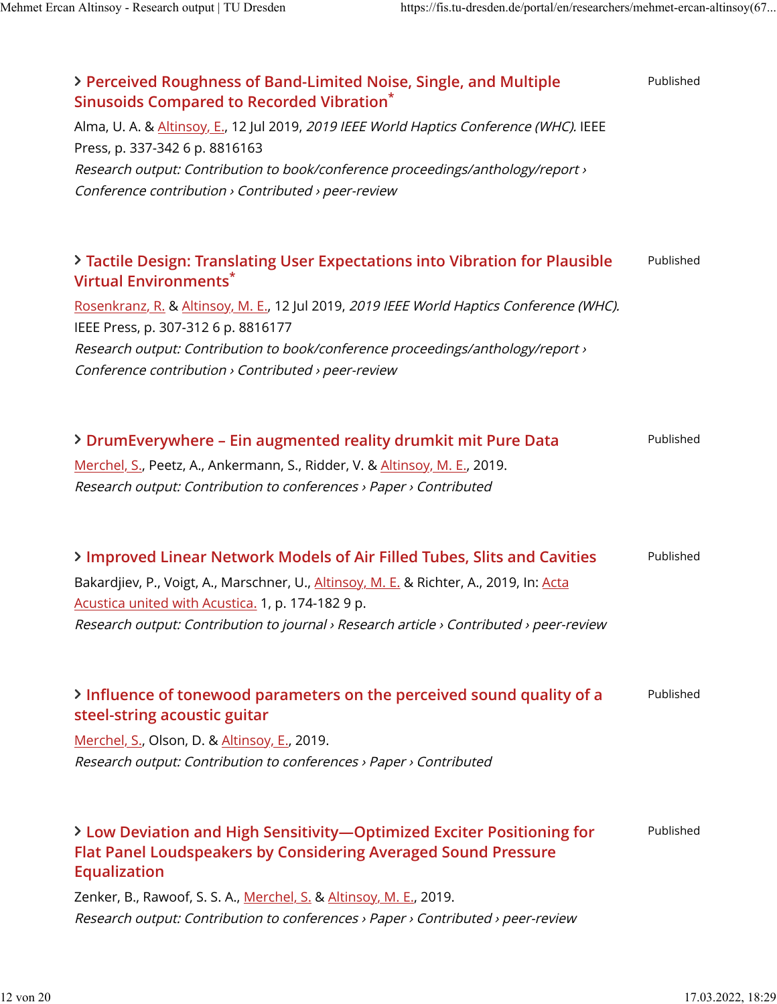| > Perceived Roughness of Band-Limited Noise, Single, and Multiple<br><b>Sinusoids Compared to Recorded Vibration*</b><br>Alma, U. A. & Altinsoy, E., 12 Jul 2019, 2019 IEEE World Haptics Conference (WHC). IEEE<br>Press, p. 337-342 6 p. 8816163<br>Research output: Contribution to book/conference proceedings/anthology/report > | Published |
|---------------------------------------------------------------------------------------------------------------------------------------------------------------------------------------------------------------------------------------------------------------------------------------------------------------------------------------|-----------|
| Conference contribution > Contributed > peer-review                                                                                                                                                                                                                                                                                   |           |
| > Tactile Design: Translating User Expectations into Vibration for Plausible<br><b>Virtual Environments*</b>                                                                                                                                                                                                                          | Published |
| Rosenkranz, R. & Altinsoy, M. E., 12 Jul 2019, 2019 IEEE World Haptics Conference (WHC).<br>IEEE Press, p. 307-312 6 p. 8816177                                                                                                                                                                                                       |           |
| Research output: Contribution to book/conference proceedings/anthology/report ><br>Conference contribution > Contributed > peer-review                                                                                                                                                                                                |           |
| > DrumEverywhere - Ein augmented reality drumkit mit Pure Data<br>Merchel, S., Peetz, A., Ankermann, S., Ridder, V. & Altinsoy, M. E., 2019.<br>Research output: Contribution to conferences > Paper > Contributed                                                                                                                    | Published |
| > Improved Linear Network Models of Air Filled Tubes, Slits and Cavities<br>Bakardjiev, P., Voigt, A., Marschner, U., Altinsoy, M. E. & Richter, A., 2019, In: Acta<br>Acustica united with Acustica. 1, p. 174-182 9 p.                                                                                                              | Published |
| Research output: Contribution to journal > Research article > Contributed > peer-review                                                                                                                                                                                                                                               |           |
| Influence of tonewood parameters on the perceived sound quality of a<br>steel-string acoustic guitar<br>Merchel, S., Olson, D. & Altinsoy, E., 2019.<br>Research output: Contribution to conferences > Paper > Contributed                                                                                                            | Published |
| > Low Deviation and High Sensitivity—Optimized Exciter Positioning for<br>Flat Panel Loudspeakers by Considering Averaged Sound Pressure<br><b>Equalization</b><br>Zenker, B., Rawoof, S. S. A., Merchel, S. & Altinsoy, M. E., 2019.                                                                                                 | Published |
| Research output: Contribution to conferences > Paper > Contributed > peer-review                                                                                                                                                                                                                                                      |           |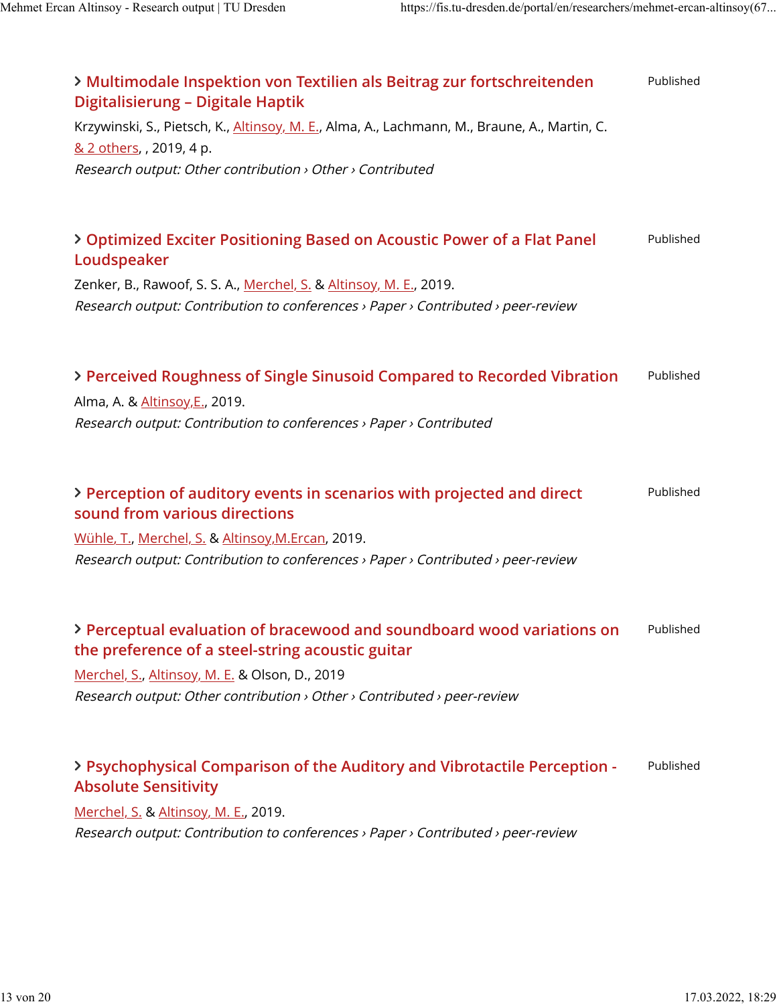| > Multimodale Inspektion von Textilien als Beitrag zur fortschreitenden<br>Digitalisierung - Digitale Haptik              | Published |
|---------------------------------------------------------------------------------------------------------------------------|-----------|
| Krzywinski, S., Pietsch, K., Altinsoy, M. E., Alma, A., Lachmann, M., Braune, A., Martin, C.<br>& 2 others, , 2019, 4 p.  |           |
| Research output: Other contribution > Other > Contributed                                                                 |           |
|                                                                                                                           |           |
| > Optimized Exciter Positioning Based on Acoustic Power of a Flat Panel<br>Loudspeaker                                    | Published |
| Zenker, B., Rawoof, S. S. A., Merchel, S. & Altinsoy, M. E., 2019.                                                        |           |
| Research output: Contribution to conferences > Paper > Contributed > peer-review                                          |           |
| > Perceived Roughness of Single Sinusoid Compared to Recorded Vibration                                                   | Published |
| Alma, A. & Altinsoy, E., 2019.                                                                                            |           |
| Research output: Contribution to conferences > Paper > Contributed                                                        |           |
|                                                                                                                           |           |
| > Perception of auditory events in scenarios with projected and direct<br>sound from various directions                   | Published |
| Wühle, T., Merchel, S. & Altinsoy, M. Ercan, 2019.                                                                        |           |
| Research output: Contribution to conferences > Paper > Contributed > peer-review                                          |           |
| > Perceptual evaluation of bracewood and soundboard wood variations on                                                    | Published |
| the preference of a steel-string acoustic guitar                                                                          |           |
| Merchel, S., Altinsoy, M. E. & Olson, D., 2019<br>Research output: Other contribution > Other > Contributed > peer-review |           |
|                                                                                                                           |           |
| > Psychophysical Comparison of the Auditory and Vibrotactile Perception -                                                 | Published |
| <b>Absolute Sensitivity</b>                                                                                               |           |
| Merchel, S. & Altinsoy, M. E., 2019.<br>Research output: Contribution to conferences > Paper > Contributed > peer-review  |           |
|                                                                                                                           |           |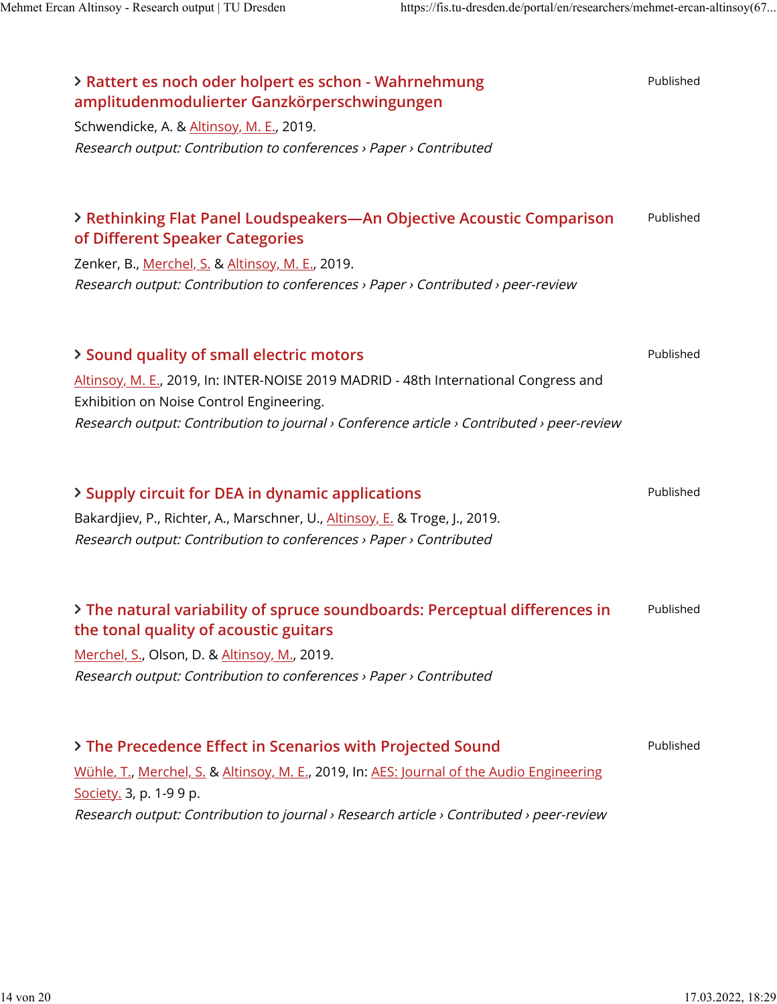| > Rattert es noch oder holpert es schon - Wahrnehmung<br>amplitudenmodulierter Ganzkörperschwingungen                                                                                                                                                                     | Published |
|---------------------------------------------------------------------------------------------------------------------------------------------------------------------------------------------------------------------------------------------------------------------------|-----------|
| Schwendicke, A. & Altinsoy, M. E., 2019.<br>Research output: Contribution to conferences > Paper > Contributed                                                                                                                                                            |           |
| > Rethinking Flat Panel Loudspeakers—An Objective Acoustic Comparison<br>of Different Speaker Categories                                                                                                                                                                  | Published |
| Zenker, B., Merchel, S. & Altinsoy, M. E., 2019.<br>Research output: Contribution to conferences > Paper > Contributed > peer-review                                                                                                                                      |           |
| > Sound quality of small electric motors<br>Altinsoy, M. E., 2019, In: INTER-NOISE 2019 MADRID - 48th International Congress and<br>Exhibition on Noise Control Engineering.<br>Research output: Contribution to journal > Conference article > Contributed > peer-review | Published |
| > Supply circuit for DEA in dynamic applications<br>Bakardjiev, P., Richter, A., Marschner, U., Altinsoy, E. & Troge, J., 2019.<br>Research output: Contribution to conferences > Paper > Contributed                                                                     | Published |
| > The natural variability of spruce soundboards: Perceptual differences in<br>the tonal quality of acoustic guitars<br>Merchel, S., Olson, D. & Altinsoy, M., 2019.<br>Research output: Contribution to conferences > Paper > Contributed                                 | Published |
| > The Precedence Effect in Scenarios with Projected Sound<br>Wühle, T., Merchel, S. & Altinsoy, M. E., 2019, In: AES: Journal of the Audio Engineering                                                                                                                    | Published |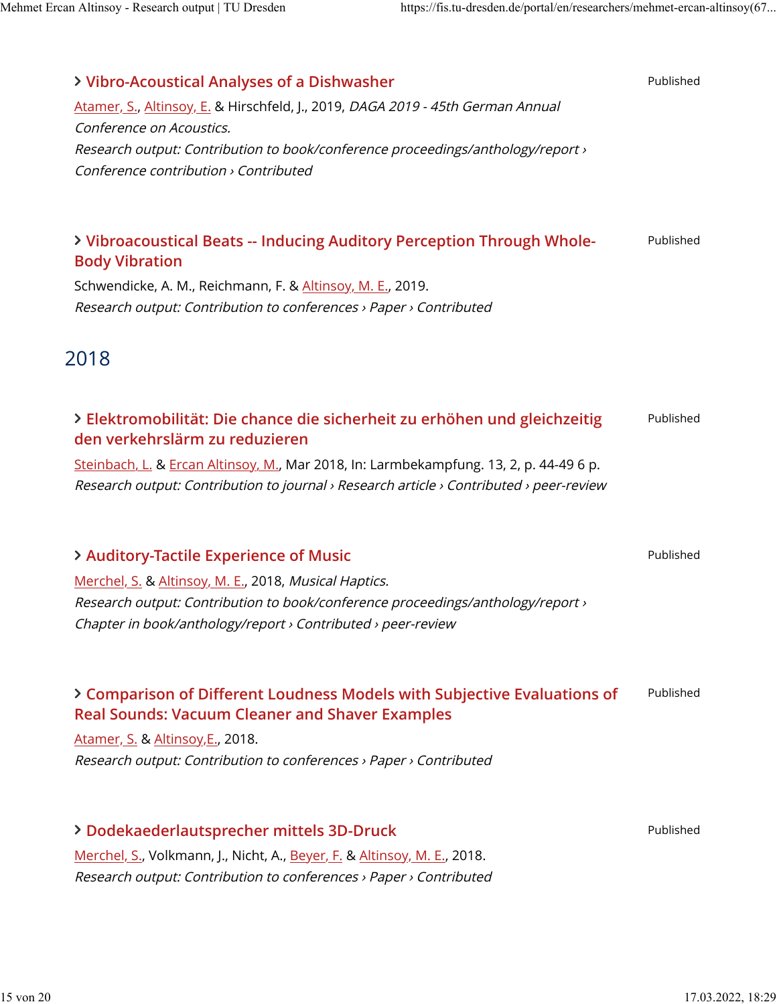| > Vibro-Acoustical Analyses of a Dishwasher<br>Atamer, S., Altinsoy, E. & Hirschfeld, J., 2019, DAGA 2019 - 45th German Annual<br>Conference on Acoustics.<br>Research output: Contribution to book/conference proceedings/anthology/report ><br>Conference contribution > Contributed           | Published |
|--------------------------------------------------------------------------------------------------------------------------------------------------------------------------------------------------------------------------------------------------------------------------------------------------|-----------|
| > Vibroacoustical Beats -- Inducing Auditory Perception Through Whole-<br><b>Body Vibration</b><br>Schwendicke, A. M., Reichmann, F. & Altinsoy, M. E., 2019.<br>Research output: Contribution to conferences > Paper > Contributed                                                              | Published |
| 2018                                                                                                                                                                                                                                                                                             |           |
| > Elektromobilität: Die chance die sicherheit zu erhöhen und gleichzeitig<br>den verkehrslärm zu reduzieren<br>Steinbach, L. & Ercan Altinsoy, M., Mar 2018, In: Larmbekampfung. 13, 2, p. 44-49 6 p.<br>Research output: Contribution to journal > Research article > Contributed > peer-review | Published |
| > Auditory-Tactile Experience of Music<br>Merchel, S. & Altinsoy, M. E., 2018, Musical Haptics.<br>Research output: Contribution to book/conference proceedings/anthology/report ><br>Chapter in book/anthology/report > Contributed > peer-review                                               | Published |
| > Comparison of Different Loudness Models with Subjective Evaluations of<br><b>Real Sounds: Vacuum Cleaner and Shaver Examples</b><br><u>Atamer, S. &amp; Altinsoy, E.,</u> 2018.<br>Research output: Contribution to conferences > Paper > Contributed                                          | Published |
| > Dodekaederlautsprecher mittels 3D-Druck<br>Merchel, S., Volkmann, J., Nicht, A., Beyer, F. & Altinsoy, M. E., 2018.<br>Research output: Contribution to conferences > Paper > Contributed                                                                                                      | Published |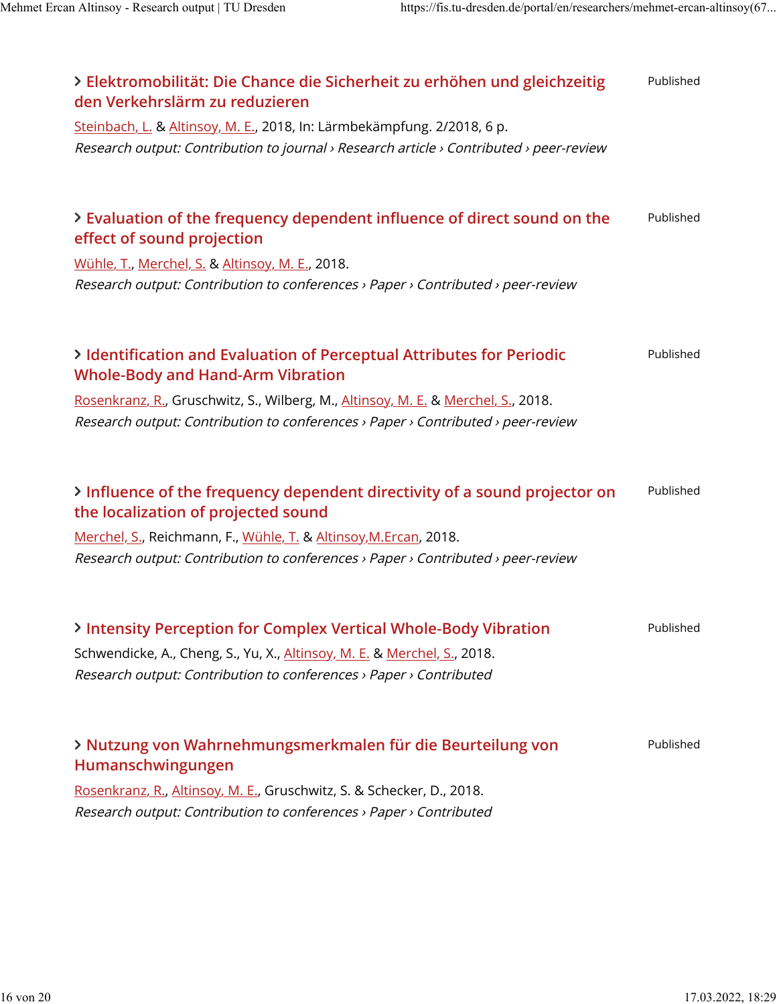| > Elektromobilität: Die Chance die Sicherheit zu erhöhen und gleichzeitig<br>den Verkehrslärm zu reduzieren       | Published |
|-------------------------------------------------------------------------------------------------------------------|-----------|
| Steinbach, L. & Altinsoy, M. E., 2018, In: Lärmbekämpfung. 2/2018, 6 p.                                           |           |
| Research output: Contribution to journal > Research article > Contributed > peer-review                           |           |
| > Evaluation of the frequency dependent influence of direct sound on the<br>effect of sound projection            | Published |
| Wühle, T., Merchel, S. & Altinsoy, M. E., 2018.                                                                   |           |
| Research output: Contribution to conferences > Paper > Contributed > peer-review                                  |           |
| > Identification and Evaluation of Perceptual Attributes for Periodic<br><b>Whole-Body and Hand-Arm Vibration</b> | Published |
| Rosenkranz, R., Gruschwitz, S., Wilberg, M., Altinsoy, M. E. & Merchel, S., 2018.                                 |           |
| Research output: Contribution to conferences > Paper > Contributed > peer-review                                  |           |
| > Influence of the frequency dependent directivity of a sound projector on<br>the localization of projected sound | Published |
| Merchel, S., Reichmann, F., Wühle, T. & Altinsoy, M. Ercan, 2018.                                                 |           |
| Research output: Contribution to conferences > Paper > Contributed > peer-review                                  |           |
| > Intensity Perception for Complex Vertical Whole-Body Vibration                                                  | Published |
| Schwendicke, A., Cheng, S., Yu, X., Altinsoy, M. E. & Merchel, S., 2018.                                          |           |
| Research output: Contribution to conferences > Paper > Contributed                                                |           |
| > Nutzung von Wahrnehmungsmerkmalen für die Beurteilung von<br>Humanschwingungen                                  | Published |
| Rosenkranz, R., Altinsoy, M. E., Gruschwitz, S. & Schecker, D., 2018.                                             |           |
| Research output: Contribution to conferences > Paper > Contributed                                                |           |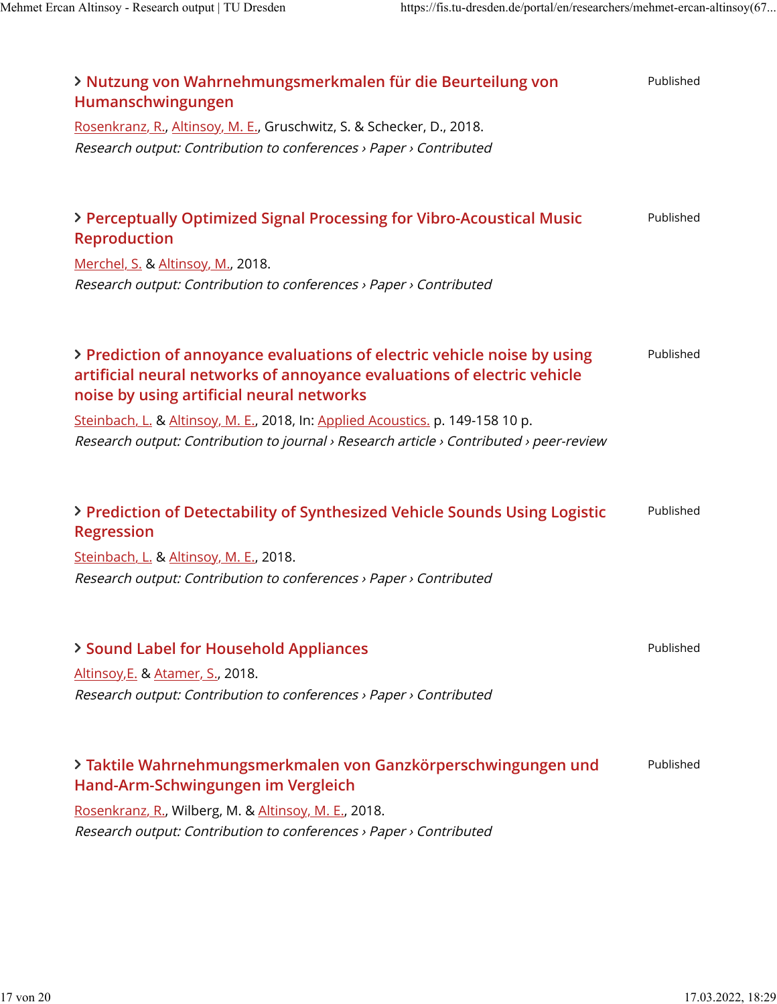| > Nutzung von Wahrnehmungsmerkmalen für die Beurteilung von<br>Humanschwingungen                                     | Published |
|----------------------------------------------------------------------------------------------------------------------|-----------|
| Rosenkranz, R., Altinsoy, M. E., Gruschwitz, S. & Schecker, D., 2018.                                                |           |
| Research output: Contribution to conferences > Paper > Contributed                                                   |           |
|                                                                                                                      |           |
| > Perceptually Optimized Signal Processing for Vibro-Acoustical Music<br><b>Reproduction</b>                         | Published |
| Merchel, S. & Altinsoy, M., 2018.                                                                                    |           |
| Research output: Contribution to conferences > Paper > Contributed                                                   |           |
| > Prediction of annoyance evaluations of electric vehicle noise by using                                             | Published |
| artificial neural networks of annoyance evaluations of electric vehicle<br>noise by using artificial neural networks |           |
| Steinbach, L. & Altinsoy, M. E., 2018, In: Applied Acoustics. p. 149-158 10 p.                                       |           |
| Research output: Contribution to journal > Research article > Contributed > peer-review                              |           |
|                                                                                                                      |           |
| > Prediction of Detectability of Synthesized Vehicle Sounds Using Logistic<br><b>Regression</b>                      | Published |
| Steinbach, L. & Altinsoy, M. E., 2018.                                                                               |           |
| Research output: Contribution to conferences > Paper > Contributed                                                   |           |
|                                                                                                                      |           |
| > Sound Label for Household Appliances                                                                               | Published |
| Altinsoy, E. & Atamer, S., 2018.                                                                                     |           |
| Research output: Contribution to conferences > Paper > Contributed                                                   |           |
| > Taktile Wahrnehmungsmerkmalen von Ganzkörperschwingungen und                                                       | Published |
| Hand-Arm-Schwingungen im Vergleich                                                                                   |           |
| Rosenkranz, R., Wilberg, M. & Altinsoy, M. E., 2018.                                                                 |           |
| Research output: Contribution to conferences > Paper > Contributed                                                   |           |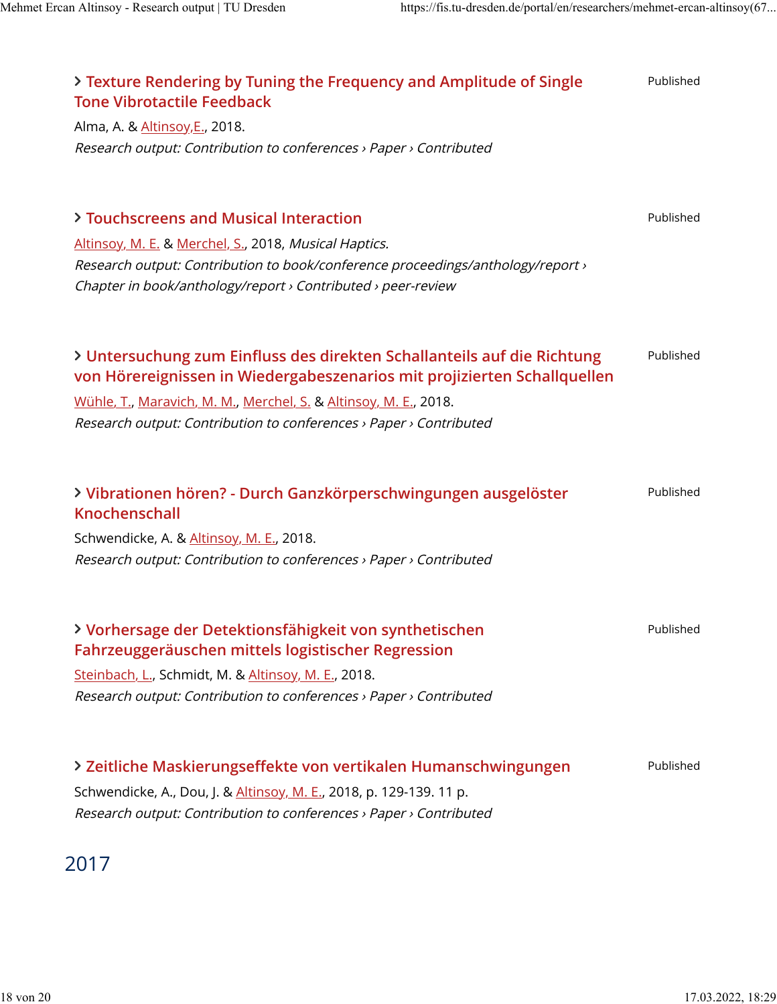| > Texture Rendering by Tuning the Frequency and Amplitude of Single<br><b>Tone Vibrotactile Feedback</b> | Published |
|----------------------------------------------------------------------------------------------------------|-----------|
| Alma, A. & Altinsoy, E., 2018.                                                                           |           |
| Research output: Contribution to conferences > Paper > Contributed                                       |           |
|                                                                                                          |           |
|                                                                                                          |           |
| > Touchscreens and Musical Interaction                                                                   | Published |
| Altinsoy, M. E. & Merchel, S., 2018, Musical Haptics.                                                    |           |
| Research output: Contribution to book/conference proceedings/anthology/report >                          |           |
| Chapter in book/anthology/report > Contributed > peer-review                                             |           |
|                                                                                                          |           |
| > Untersuchung zum Einfluss des direkten Schallanteils auf die Richtung                                  | Published |
| von Hörereignissen in Wiedergabeszenarios mit projizierten Schallquellen                                 |           |
| Wühle, T., Maravich, M. M., Merchel, S. & Altinsoy, M. E., 2018.                                         |           |
| Research output: Contribution to conferences > Paper > Contributed                                       |           |
|                                                                                                          |           |
|                                                                                                          |           |
| > Vibrationen hören? - Durch Ganzkörperschwingungen ausgelöster                                          | Published |
| Knochenschall                                                                                            |           |
| Schwendicke, A. & Altinsoy, M. E., 2018.                                                                 |           |
| Research output: Contribution to conferences > Paper > Contributed                                       |           |
|                                                                                                          |           |
| > Vorhersage der Detektionsfähigkeit von synthetischen                                                   | Published |
| Fahrzeuggeräuschen mittels logistischer Regression                                                       |           |
| Steinbach, L., Schmidt, M. & Altinsoy, M. E., 2018.                                                      |           |
| Research output: Contribution to conferences > Paper > Contributed                                       |           |
|                                                                                                          |           |
|                                                                                                          |           |
| > Zeitliche Maskierungseffekte von vertikalen Humanschwingungen                                          | Published |
| Schwendicke, A., Dou, J. & Altinsoy, M. E., 2018, p. 129-139. 11 p.                                      |           |
| Research output: Contribution to conferences > Paper > Contributed                                       |           |
|                                                                                                          |           |

# 2017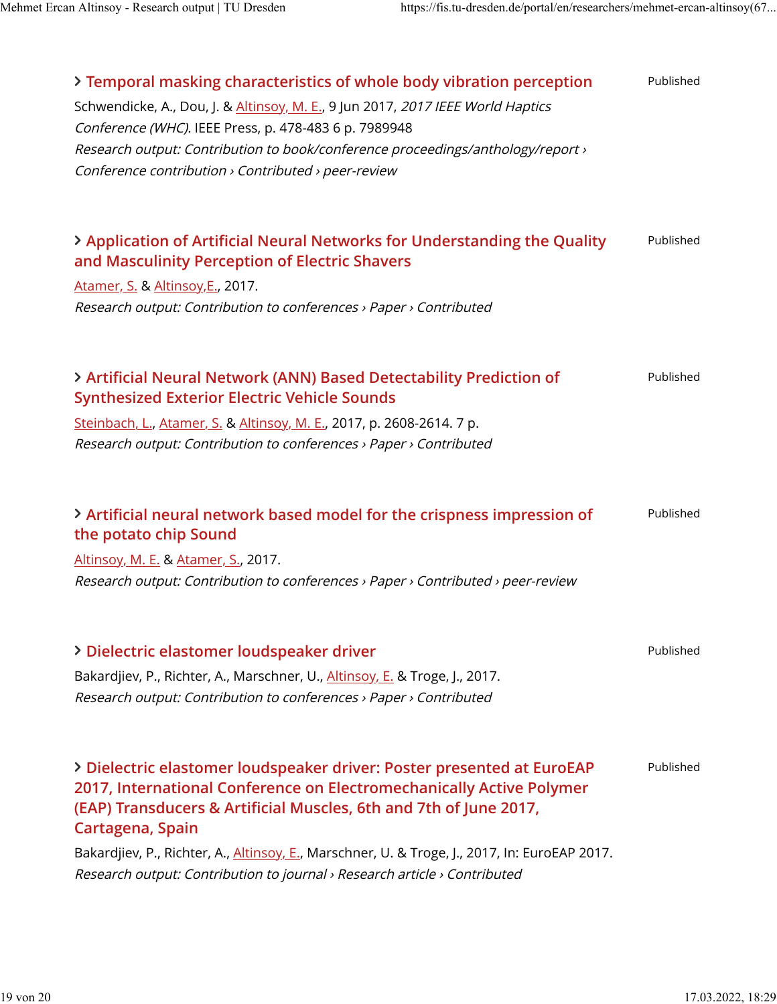| > Temporal masking characteristics of whole body vibration perception<br>Schwendicke, A., Dou, J. & Altinsoy, M. E., 9 Jun 2017, 2017 IEEE World Haptics<br>Conference (WHC). IEEE Press, p. 478-483 6 p. 7989948<br>Research output: Contribution to book/conference proceedings/anthology/report ><br>Conference contribution > Contributed > peer-review                                                           | Published |
|-----------------------------------------------------------------------------------------------------------------------------------------------------------------------------------------------------------------------------------------------------------------------------------------------------------------------------------------------------------------------------------------------------------------------|-----------|
| > Application of Artificial Neural Networks for Understanding the Quality<br>and Masculinity Perception of Electric Shavers<br>Atamer, S. & Altinsoy, E., 2017.<br>Research output: Contribution to conferences > Paper > Contributed                                                                                                                                                                                 | Published |
| > Artificial Neural Network (ANN) Based Detectability Prediction of<br><b>Synthesized Exterior Electric Vehicle Sounds</b><br>Steinbach, L., Atamer, S. & Altinsoy, M. E., 2017, p. 2608-2614. 7 p.<br>Research output: Contribution to conferences > Paper > Contributed                                                                                                                                             | Published |
| > Artificial neural network based model for the crispness impression of<br>the potato chip Sound<br>Altinsoy, M. E. & Atamer, S., 2017.<br>Research output: Contribution to conferences > Paper > Contributed > peer-review                                                                                                                                                                                           | Published |
| > Dielectric elastomer loudspeaker driver<br>Bakardjiev, P., Richter, A., Marschner, U., Altinsoy, E. & Troge, J., 2017.<br>Research output: Contribution to conferences > Paper > Contributed                                                                                                                                                                                                                        | Published |
| > Dielectric elastomer loudspeaker driver: Poster presented at EuroEAP<br>2017, International Conference on Electromechanically Active Polymer<br>(EAP) Transducers & Artificial Muscles, 6th and 7th of June 2017,<br>Cartagena, Spain<br>Bakardjiev, P., Richter, A., Altinsoy, E., Marschner, U. & Troge, J., 2017, In: EuroEAP 2017.<br>Research output: Contribution to journal > Research article > Contributed | Published |